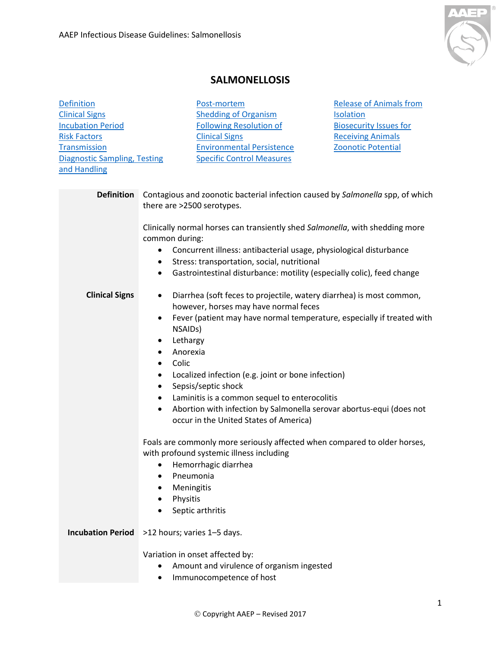

## **SALMONELLOSIS**

<span id="page-0-2"></span><span id="page-0-1"></span><span id="page-0-0"></span>

| <b>Definition</b>                   |                                                                                                                            | Post-mortem                                                        | <b>Release of Animals from</b>                                                 |  |
|-------------------------------------|----------------------------------------------------------------------------------------------------------------------------|--------------------------------------------------------------------|--------------------------------------------------------------------------------|--|
| <b>Clinical Signs</b>               |                                                                                                                            | <b>Shedding of Organism</b>                                        | <b>Isolation</b>                                                               |  |
| <b>Incubation Period</b>            |                                                                                                                            | <b>Following Resolution of</b>                                     | <b>Biosecurity Issues for</b>                                                  |  |
| <b>Risk Factors</b>                 |                                                                                                                            | <b>Clinical Signs</b>                                              | <b>Receiving Animals</b>                                                       |  |
| <b>Transmission</b>                 |                                                                                                                            | <b>Environmental Persistence</b>                                   | <b>Zoonotic Potential</b>                                                      |  |
| <b>Diagnostic Sampling, Testing</b> |                                                                                                                            | <b>Specific Control Measures</b>                                   |                                                                                |  |
| and Handling                        |                                                                                                                            |                                                                    |                                                                                |  |
| <b>Definition</b>                   |                                                                                                                            |                                                                    | Contagious and zoonotic bacterial infection caused by Salmonella spp, of which |  |
|                                     | there are >2500 serotypes.                                                                                                 |                                                                    |                                                                                |  |
|                                     | Clinically normal horses can transiently shed Salmonella, with shedding more                                               |                                                                    |                                                                                |  |
|                                     | common during:                                                                                                             | Concurrent illness: antibacterial usage, physiological disturbance |                                                                                |  |
|                                     | ٠                                                                                                                          | Stress: transportation, social, nutritional                        |                                                                                |  |
|                                     | $\bullet$                                                                                                                  |                                                                    | Gastrointestinal disturbance: motility (especially colic), feed change         |  |
| <b>Clinical Signs</b>               | Diarrhea (soft feces to projectile, watery diarrhea) is most common,<br>$\bullet$<br>however, horses may have normal feces |                                                                    |                                                                                |  |
|                                     | ٠                                                                                                                          |                                                                    | Fever (patient may have normal temperature, especially if treated with         |  |
|                                     | NSAID <sub>s</sub> )                                                                                                       |                                                                    |                                                                                |  |
|                                     | Lethargy<br>$\bullet$                                                                                                      |                                                                    |                                                                                |  |
|                                     | Anorexia<br>$\bullet$                                                                                                      |                                                                    |                                                                                |  |
|                                     | Colic<br>$\bullet$                                                                                                         |                                                                    |                                                                                |  |
|                                     | $\bullet$                                                                                                                  | Localized infection (e.g. joint or bone infection)                 |                                                                                |  |
|                                     | $\bullet$                                                                                                                  | Sepsis/septic shock                                                |                                                                                |  |
|                                     | $\bullet$                                                                                                                  | Laminitis is a common sequel to enterocolitis                      |                                                                                |  |
|                                     | $\bullet$                                                                                                                  |                                                                    | Abortion with infection by Salmonella serovar abortus-equi (does not           |  |
|                                     |                                                                                                                            | occur in the United States of America)                             |                                                                                |  |
|                                     |                                                                                                                            |                                                                    | Foals are commonly more seriously affected when compared to older horses,      |  |
|                                     |                                                                                                                            | with profound systemic illness including                           |                                                                                |  |
|                                     | ٠                                                                                                                          | Hemorrhagic diarrhea                                               |                                                                                |  |
|                                     | Pneumonia                                                                                                                  |                                                                    |                                                                                |  |
|                                     | Meningitis                                                                                                                 |                                                                    |                                                                                |  |
|                                     | Physitis                                                                                                                   |                                                                    |                                                                                |  |
|                                     | Septic arthritis                                                                                                           |                                                                    |                                                                                |  |
| <b>Incubation Period</b>            | >12 hours; varies 1-5 days.                                                                                                |                                                                    |                                                                                |  |
|                                     | Variation in onset affected by:                                                                                            |                                                                    |                                                                                |  |
|                                     | Amount and virulence of organism ingested                                                                                  |                                                                    |                                                                                |  |
|                                     |                                                                                                                            | Immunocompetence of host                                           |                                                                                |  |
|                                     |                                                                                                                            |                                                                    |                                                                                |  |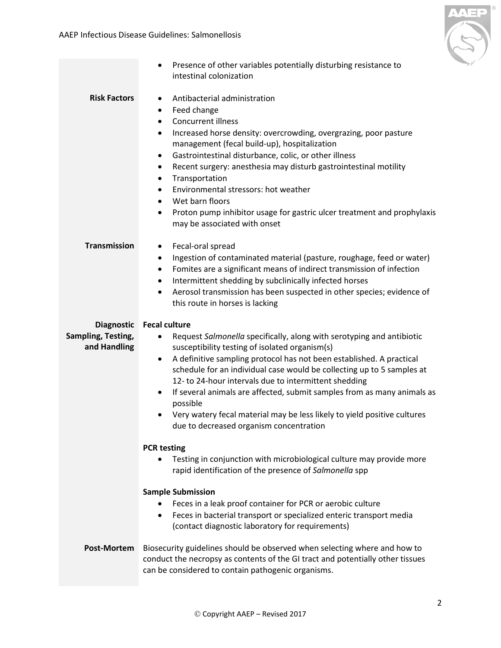

<span id="page-1-3"></span><span id="page-1-2"></span><span id="page-1-1"></span><span id="page-1-0"></span>

|                                                         | Presence of other variables potentially disturbing resistance to<br>intestinal colonization                                                                                                                                                                                                                                                                                                                                                                                                                                                                                                                                  |
|---------------------------------------------------------|------------------------------------------------------------------------------------------------------------------------------------------------------------------------------------------------------------------------------------------------------------------------------------------------------------------------------------------------------------------------------------------------------------------------------------------------------------------------------------------------------------------------------------------------------------------------------------------------------------------------------|
| <b>Risk Factors</b>                                     | Antibacterial administration<br>٠<br>Feed change<br>$\bullet$<br>Concurrent illness<br>$\bullet$<br>Increased horse density: overcrowding, overgrazing, poor pasture<br>$\bullet$<br>management (fecal build-up), hospitalization<br>Gastrointestinal disturbance, colic, or other illness<br>$\bullet$<br>Recent surgery: anesthesia may disturb gastrointestinal motility<br>$\bullet$<br>Transportation<br>٠<br>Environmental stressors: hot weather<br>$\bullet$<br>Wet barn floors<br>$\bullet$<br>Proton pump inhibitor usage for gastric ulcer treatment and prophylaxis<br>$\bullet$<br>may be associated with onset |
| <b>Transmission</b>                                     | Fecal-oral spread<br>$\bullet$<br>Ingestion of contaminated material (pasture, roughage, feed or water)<br>$\bullet$<br>Fomites are a significant means of indirect transmission of infection<br>$\bullet$<br>Intermittent shedding by subclinically infected horses<br>$\bullet$<br>Aerosol transmission has been suspected in other species; evidence of<br>٠<br>this route in horses is lacking                                                                                                                                                                                                                           |
| <b>Diagnostic</b><br>Sampling, Testing,<br>and Handling | <b>Fecal culture</b><br>Request Salmonella specifically, along with serotyping and antibiotic<br>٠<br>susceptibility testing of isolated organism(s)<br>A definitive sampling protocol has not been established. A practical<br>٠<br>schedule for an individual case would be collecting up to 5 samples at<br>12- to 24-hour intervals due to intermittent shedding<br>If several animals are affected, submit samples from as many animals as<br>$\bullet$<br>possible<br>Very watery fecal material may be less likely to yield positive cultures<br>due to decreased organism concentration                              |
|                                                         | <b>PCR testing</b><br>Testing in conjunction with microbiological culture may provide more<br>rapid identification of the presence of Salmonella spp<br><b>Sample Submission</b><br>Feces in a leak proof container for PCR or aerobic culture<br>Feces in bacterial transport or specialized enteric transport media<br>$\bullet$                                                                                                                                                                                                                                                                                           |
| Post-Mortem                                             | (contact diagnostic laboratory for requirements)<br>Biosecurity guidelines should be observed when selecting where and how to<br>conduct the necropsy as contents of the GI tract and potentially other tissues<br>can be considered to contain pathogenic organisms.                                                                                                                                                                                                                                                                                                                                                        |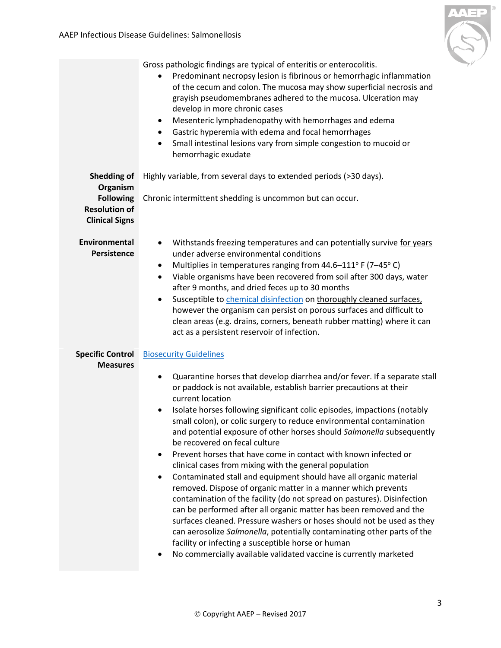

<span id="page-2-2"></span><span id="page-2-1"></span><span id="page-2-0"></span>

|                                                                                                     | Gross pathologic findings are typical of enteritis or enterocolitis.<br>Predominant necropsy lesion is fibrinous or hemorrhagic inflammation<br>of the cecum and colon. The mucosa may show superficial necrosis and<br>grayish pseudomembranes adhered to the mucosa. Ulceration may<br>develop in more chronic cases<br>Mesenteric lymphadenopathy with hemorrhages and edema<br>$\bullet$<br>Gastric hyperemia with edema and focal hemorrhages<br>$\bullet$<br>Small intestinal lesions vary from simple congestion to mucoid or<br>$\bullet$<br>hemorrhagic exudate                                                                                                                                                                                                                                                                                                                                                                                                                                                                                                                                                                                                                                    |
|-----------------------------------------------------------------------------------------------------|-------------------------------------------------------------------------------------------------------------------------------------------------------------------------------------------------------------------------------------------------------------------------------------------------------------------------------------------------------------------------------------------------------------------------------------------------------------------------------------------------------------------------------------------------------------------------------------------------------------------------------------------------------------------------------------------------------------------------------------------------------------------------------------------------------------------------------------------------------------------------------------------------------------------------------------------------------------------------------------------------------------------------------------------------------------------------------------------------------------------------------------------------------------------------------------------------------------|
| <b>Shedding of</b><br>Organism<br><b>Following</b><br><b>Resolution of</b><br><b>Clinical Signs</b> | Highly variable, from several days to extended periods (>30 days).<br>Chronic intermittent shedding is uncommon but can occur.                                                                                                                                                                                                                                                                                                                                                                                                                                                                                                                                                                                                                                                                                                                                                                                                                                                                                                                                                                                                                                                                              |
| Environmental<br>Persistence                                                                        | Withstands freezing temperatures and can potentially survive for years<br>$\bullet$<br>under adverse environmental conditions<br>Multiplies in temperatures ranging from 44.6-111° F (7-45° C)<br>$\bullet$<br>Viable organisms have been recovered from soil after 300 days, water<br>$\bullet$<br>after 9 months, and dried feces up to 30 months<br>Susceptible to chemical disinfection on thoroughly cleaned surfaces,<br>$\bullet$<br>however the organism can persist on porous surfaces and difficult to<br>clean areas (e.g. drains, corners, beneath rubber matting) where it can<br>act as a persistent reservoir of infection.                                                                                                                                                                                                                                                                                                                                                                                                                                                                                                                                                                  |
| <b>Specific Control</b><br><b>Measures</b>                                                          | <b>Biosecurity Guidelines</b><br>Quarantine horses that develop diarrhea and/or fever. If a separate stall<br>$\bullet$<br>or paddock is not available, establish barrier precautions at their<br>current location<br>Isolate horses following significant colic episodes, impactions (notably<br>$\bullet$<br>small colon), or colic surgery to reduce environmental contamination<br>and potential exposure of other horses should Salmonella subsequently<br>be recovered on fecal culture<br>Prevent horses that have come in contact with known infected or<br>٠<br>clinical cases from mixing with the general population<br>Contaminated stall and equipment should have all organic material<br>٠<br>removed. Dispose of organic matter in a manner which prevents<br>contamination of the facility (do not spread on pastures). Disinfection<br>can be performed after all organic matter has been removed and the<br>surfaces cleaned. Pressure washers or hoses should not be used as they<br>can aerosolize Salmonella, potentially contaminating other parts of the<br>facility or infecting a susceptible horse or human<br>No commercially available validated vaccine is currently marketed |